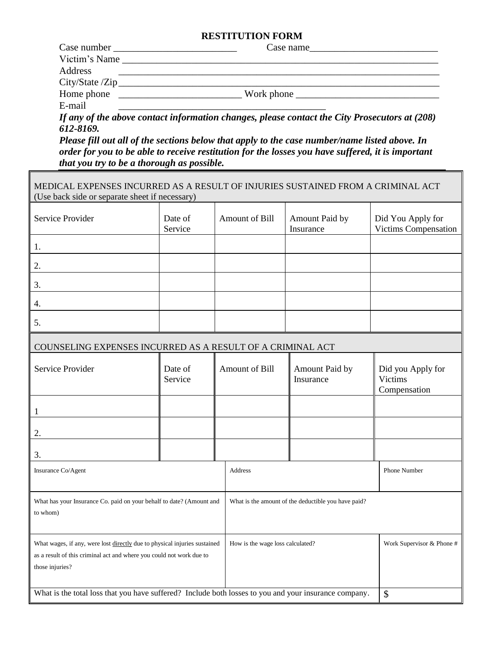## **RESTITUTION FORM**

| Case number   | Case name                                                |
|---------------|----------------------------------------------------------|
| Victim's Name |                                                          |
| Address       |                                                          |
|               | City/State / Zip                                         |
| Home phone    | $\frac{1}{2} \text{Work phone} \underline{\hspace{1cm}}$ |
| E-mail        |                                                          |

*If any of the above contact information changes, please contact the City Prosecutors at (208) 612-8169.*

*Please fill out all of the sections below that apply to the case number/name listed above. In order for you to be able to receive restitution for the losses you have suffered, it is important that you try to be a thorough as possible.*

٦

| MEDICAL EXPENSES INCURRED AS A RESULT OF INJURIES SUSTAINED FROM A CRIMINAL ACT<br>(Use back side or separate sheet if necessary)                                                                        |                    |                |                             |                                                     |
|----------------------------------------------------------------------------------------------------------------------------------------------------------------------------------------------------------|--------------------|----------------|-----------------------------|-----------------------------------------------------|
| Service Provider                                                                                                                                                                                         | Date of<br>Service | Amount of Bill | Amount Paid by<br>Insurance | Did You Apply for<br>Victims Compensation           |
| 1.                                                                                                                                                                                                       |                    |                |                             |                                                     |
| 2.                                                                                                                                                                                                       |                    |                |                             |                                                     |
| 3.                                                                                                                                                                                                       |                    |                |                             |                                                     |
| 4.                                                                                                                                                                                                       |                    |                |                             |                                                     |
| 5.                                                                                                                                                                                                       |                    |                |                             |                                                     |
| COUNSELING EXPENSES INCURRED AS A RESULT OF A CRIMINAL ACT                                                                                                                                               |                    |                |                             |                                                     |
| Service Provider                                                                                                                                                                                         | Date of<br>Service | Amount of Bill | Amount Paid by<br>Insurance | Did you Apply for<br><b>Victims</b><br>Compensation |
| $\mathbf{1}$                                                                                                                                                                                             |                    |                |                             |                                                     |
| 2.                                                                                                                                                                                                       |                    |                |                             |                                                     |
| 3.                                                                                                                                                                                                       |                    |                |                             |                                                     |
| Insurance Co/Agent                                                                                                                                                                                       |                    | <b>Address</b> |                             |                                                     |
| What has your Insurance Co. paid on your behalf to date? (Amount and<br>What is the amount of the deductible you have paid?<br>to whom)                                                                  |                    |                |                             |                                                     |
| What wages, if any, were lost directly due to physical injuries sustained<br>How is the wage loss calculated?<br>as a result of this criminal act and where you could not work due to<br>those injuries? |                    |                |                             | Work Supervisor & Phone #                           |
| What is the total loss that you have suffered? Include both losses to you and your insurance company.                                                                                                    | \$                 |                |                             |                                                     |